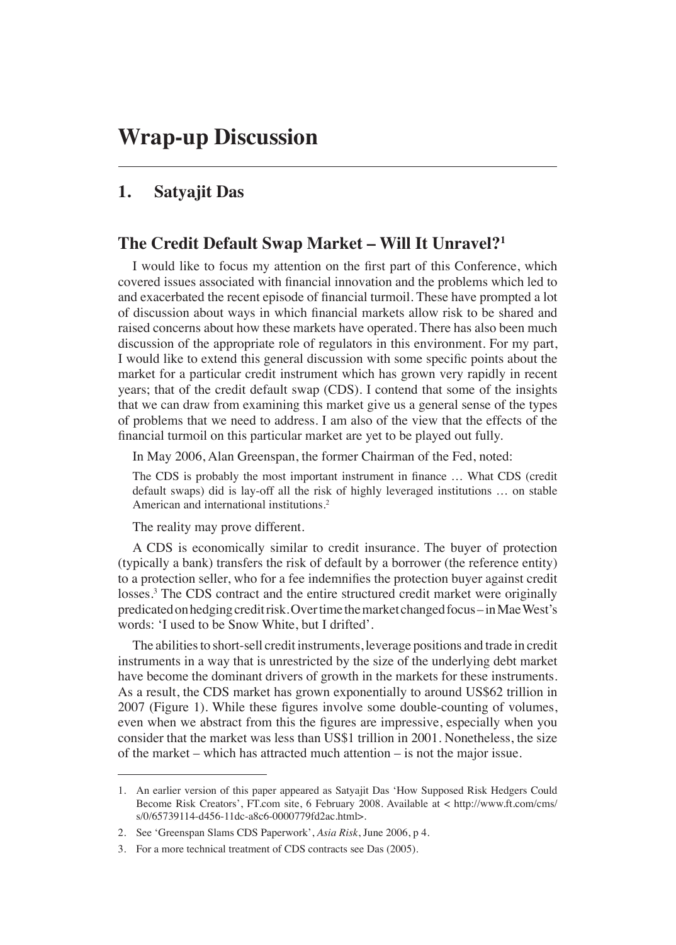# **1. Satyajit Das**

# **The Credit Default Swap Market – Will It Unravel?1**

I would like to focus my attention on the first part of this Conference, which covered issues associated with financial innovation and the problems which led to and exacerbated the recent episode of financial turmoil. These have prompted a lot of discussion about ways in which financial markets allow risk to be shared and raised concerns about how these markets have operated. There has also been much discussion of the appropriate role of regulators in this environment. For my part, I would like to extend this general discussion with some specific points about the market for a particular credit instrument which has grown very rapidly in recent years; that of the credit default swap (CDS). I contend that some of the insights that we can draw from examining this market give us a general sense of the types of problems that we need to address. I am also of the view that the effects of the financial turmoil on this particular market are yet to be played out fully.

In May 2006, Alan Greenspan, the former Chairman of the Fed, noted:

The CDS is probably the most important instrument in finance ... What CDS (credit default swaps) did is lay-off all the risk of highly leveraged institutions … on stable American and international institutions.2

The reality may prove different.

A CDS is economically similar to credit insurance. The buyer of protection (typically a bank) transfers the risk of default by a borrower (the reference entity) to a protection seller, who for a fee indemnifies the protection buyer against credit losses.3 The CDS contract and the entire structured credit market were originally predicated on hedging credit risk. Over time the market changed focus – in Mae West's words: 'I used to be Snow White, but I drifted'.

The abilities to short-sell credit instruments, leverage positions and trade in credit instruments in a way that is unrestricted by the size of the underlying debt market have become the dominant drivers of growth in the markets for these instruments. As a result, the CDS market has grown exponentially to around US\$62 trillion in 2007 (Figure 1). While these figures involve some double-counting of volumes, even when we abstract from this the figures are impressive, especially when you consider that the market was less than US\$1 trillion in 2001. Nonetheless, the size of the market – which has attracted much attention – is not the major issue.

<sup>1.</sup> An earlier version of this paper appeared as Satyajit Das 'How Supposed Risk Hedgers Could Become Risk Creators', FT.com site, 6 February 2008. Available at < http://www.ft.com/cms/ s/0/65739114-d456-11dc-a8c6-0000779fd2ac.html>.

<sup>2.</sup> See 'Greenspan Slams CDS Paperwork', *Asia Risk*, June 2006, p 4.

<sup>3.</sup> For a more technical treatment of CDS contracts see Das (2005).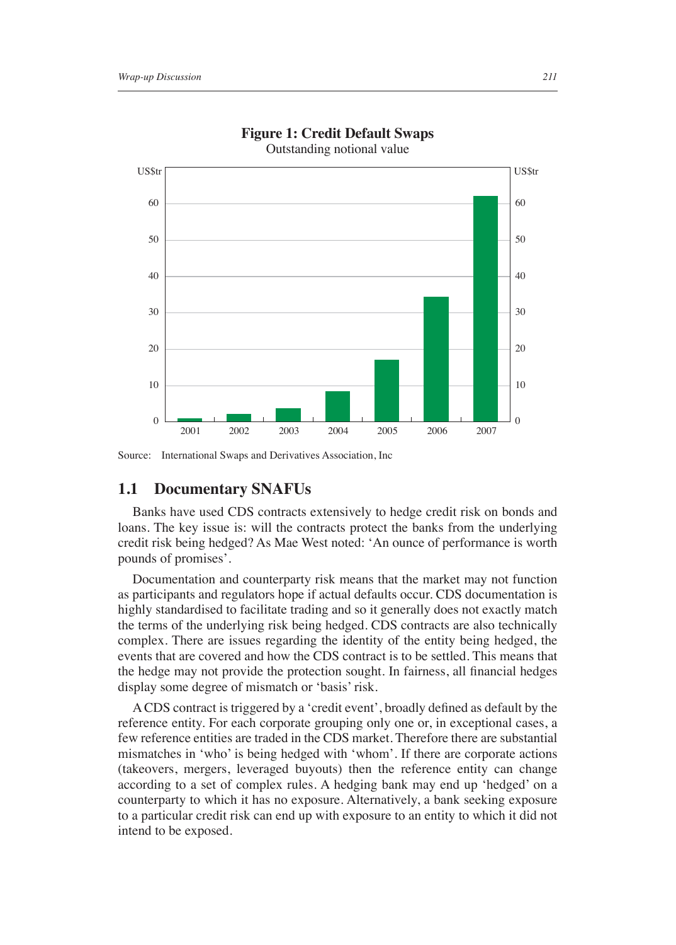

#### **Figure 1: Credit Default Swaps** Outstanding notional value

Source: International Swaps and Derivatives Association, Inc

#### **1.1 Documentary SNAFUs**

Banks have used CDS contracts extensively to hedge credit risk on bonds and loans. The key issue is: will the contracts protect the banks from the underlying credit risk being hedged? As Mae West noted: 'An ounce of performance is worth pounds of promises'.

Documentation and counterparty risk means that the market may not function as participants and regulators hope if actual defaults occur. CDS documentation is highly standardised to facilitate trading and so it generally does not exactly match the terms of the underlying risk being hedged. CDS contracts are also technically complex. There are issues regarding the identity of the entity being hedged, the events that are covered and how the CDS contract is to be settled. This means that the hedge may not provide the protection sought. In fairness, all financial hedges display some degree of mismatch or 'basis' risk.

A CDS contract is triggered by a 'credit event', broadly defined as default by the reference entity. For each corporate grouping only one or, in exceptional cases, a few reference entities are traded in the CDS market. Therefore there are substantial mismatches in 'who' is being hedged with 'whom'. If there are corporate actions (takeovers, mergers, leveraged buyouts) then the reference entity can change according to a set of complex rules. A hedging bank may end up 'hedged' on a counterparty to which it has no exposure. Alternatively, a bank seeking exposure to a particular credit risk can end up with exposure to an entity to which it did not intend to be exposed.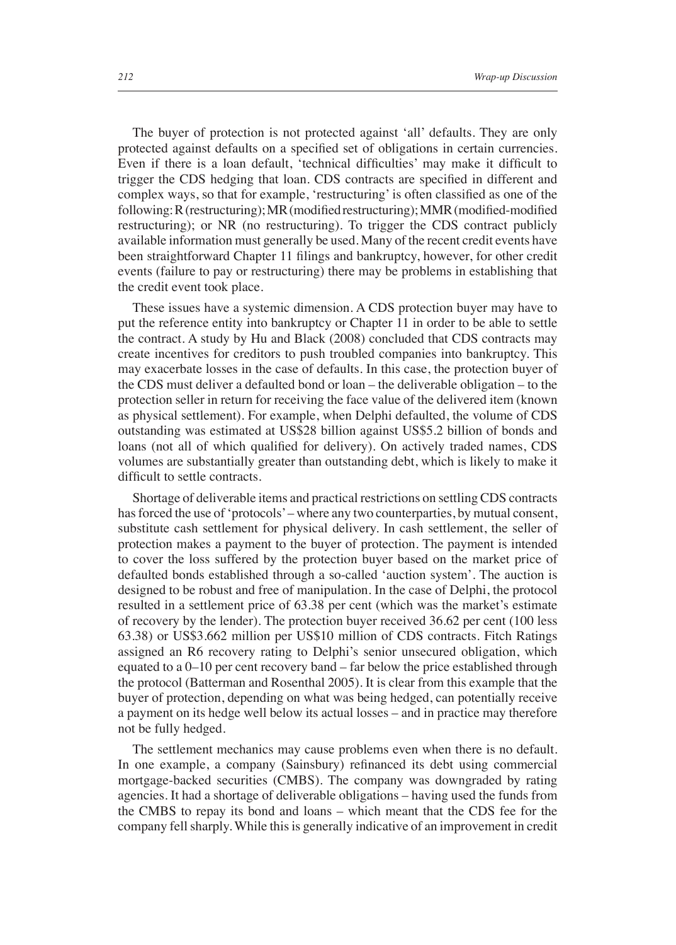The buyer of protection is not protected against 'all' defaults. They are only protected against defaults on a specified set of obligations in certain currencies. Even if there is a loan default, 'technical difficulties' may make it difficult to trigger the CDS hedging that loan. CDS contracts are specified in different and complex ways, so that for example, 'restructuring' is often classified as one of the following: R (restructuring); MR (modified restructuring); MMR (modified-modified restructuring); or NR (no restructuring). To trigger the CDS contract publicly available information must generally be used. Many of the recent credit events have been straightforward Chapter 11 filings and bankruptcy, however, for other credit events (failure to pay or restructuring) there may be problems in establishing that the credit event took place.

These issues have a systemic dimension. A CDS protection buyer may have to put the reference entity into bankruptcy or Chapter 11 in order to be able to settle the contract. A study by Hu and Black (2008) concluded that CDS contracts may create incentives for creditors to push troubled companies into bankruptcy. This may exacerbate losses in the case of defaults. In this case, the protection buyer of the CDS must deliver a defaulted bond or loan – the deliverable obligation – to the protection seller in return for receiving the face value of the delivered item (known as physical settlement). For example, when Delphi defaulted, the volume of CDS outstanding was estimated at US\$28 billion against US\$5.2 billion of bonds and loans (not all of which qualified for delivery). On actively traded names, CDS volumes are substantially greater than outstanding debt, which is likely to make it difficult to settle contracts.

Shortage of deliverable items and practical restrictions on settling CDS contracts has forced the use of 'protocols' – where any two counterparties, by mutual consent, substitute cash settlement for physical delivery. In cash settlement, the seller of protection makes a payment to the buyer of protection. The payment is intended to cover the loss suffered by the protection buyer based on the market price of defaulted bonds established through a so-called 'auction system'. The auction is designed to be robust and free of manipulation. In the case of Delphi, the protocol resulted in a settlement price of 63.38 per cent (which was the market's estimate of recovery by the lender). The protection buyer received 36.62 per cent (100 less 63.38) or US\$3.662 million per US\$10 million of CDS contracts. Fitch Ratings assigned an R6 recovery rating to Delphi's senior unsecured obligation, which equated to a 0–10 per cent recovery band – far below the price established through the protocol (Batterman and Rosenthal 2005). It is clear from this example that the buyer of protection, depending on what was being hedged, can potentially receive a payment on its hedge well below its actual losses – and in practice may therefore not be fully hedged.

The settlement mechanics may cause problems even when there is no default. In one example, a company (Sainsbury) refinanced its debt using commercial mortgage-backed securities (CMBS). The company was downgraded by rating agencies. It had a shortage of deliverable obligations – having used the funds from the CMBS to repay its bond and loans – which meant that the CDS fee for the company fell sharply. While this is generally indicative of an improvement in credit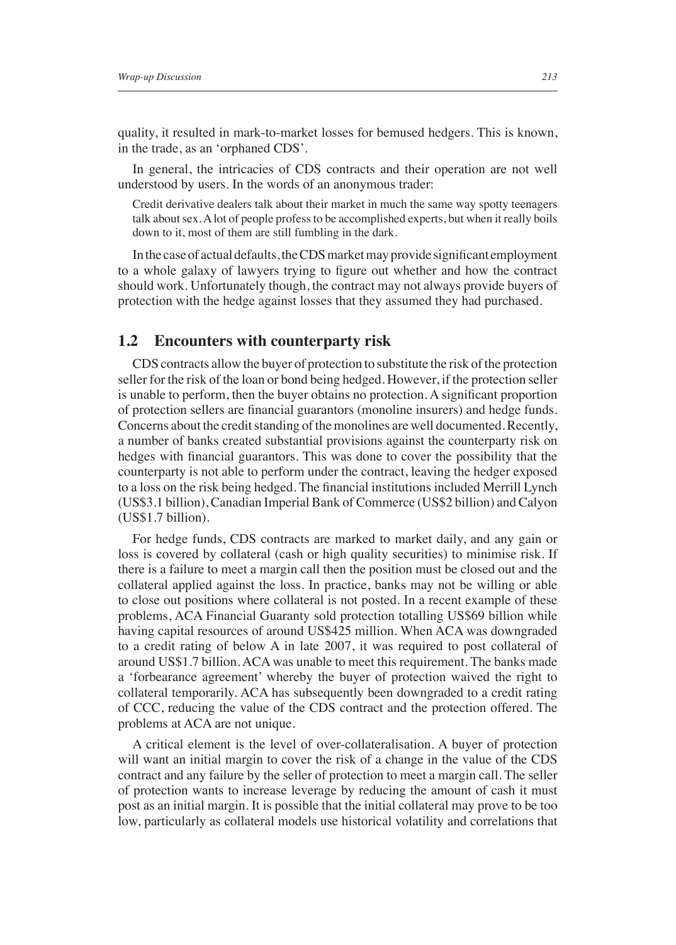quality, it resulted in mark-to-market losses for bemused hedgers. This is known, in the trade, as an 'orphaned CDS'.

In general, the intricacies of CDS contracts and their operation are not well understood by users. In the words of an anonymous trader:

Credit derivative dealers talk about their market in much the same way spotty teenagers talk about sex. A lot of people profess to be accomplished experts, but when it really boils down to it, most of them are still fumbling in the dark.

In the case of actual defaults, the CDS market may provide significant employment to a whole galaxy of lawyers trying to figure out whether and how the contract should work. Unfortunately though, the contract may not always provide buyers of protection with the hedge against losses that they assumed they had purchased.

### **1.2 Encounters with counterparty risk**

CDS contracts allow the buyer of protection to substitute the risk of the protection seller for the risk of the loan or bond being hedged. However, if the protection seller is unable to perform, then the buyer obtains no protection. A significant proportion of protection sellers are financial guarantors (monoline insurers) and hedge funds. Concerns about the credit standing of the monolines are well documented. Recently, a number of banks created substantial provisions against the counterparty risk on hedges with financial guarantors. This was done to cover the possibility that the counterparty is not able to perform under the contract, leaving the hedger exposed to a loss on the risk being hedged. The financial institutions included Merrill Lynch (US\$3.1 billion), Canadian Imperial Bank of Commerce (US\$2 billion) and Calyon (US\$1.7 billion).

For hedge funds, CDS contracts are marked to market daily, and any gain or loss is covered by collateral (cash or high quality securities) to minimise risk. If there is a failure to meet a margin call then the position must be closed out and the collateral applied against the loss. In practice, banks may not be willing or able to close out positions where collateral is not posted. In a recent example of these problems, ACA Financial Guaranty sold protection totalling US\$69 billion while having capital resources of around US\$425 million. When ACA was downgraded to a credit rating of below A in late 2007, it was required to post collateral of around US\$1.7 billion. ACA was unable to meet this requirement. The banks made a 'forbearance agreement' whereby the buyer of protection waived the right to collateral temporarily. ACA has subsequently been downgraded to a credit rating of CCC, reducing the value of the CDS contract and the protection offered. The problems at ACA are not unique.

A critical element is the level of over-collateralisation. A buyer of protection will want an initial margin to cover the risk of a change in the value of the CDS contract and any failure by the seller of protection to meet a margin call. The seller of protection wants to increase leverage by reducing the amount of cash it must post as an initial margin. It is possible that the initial collateral may prove to be too low, particularly as collateral models use historical volatility and correlations that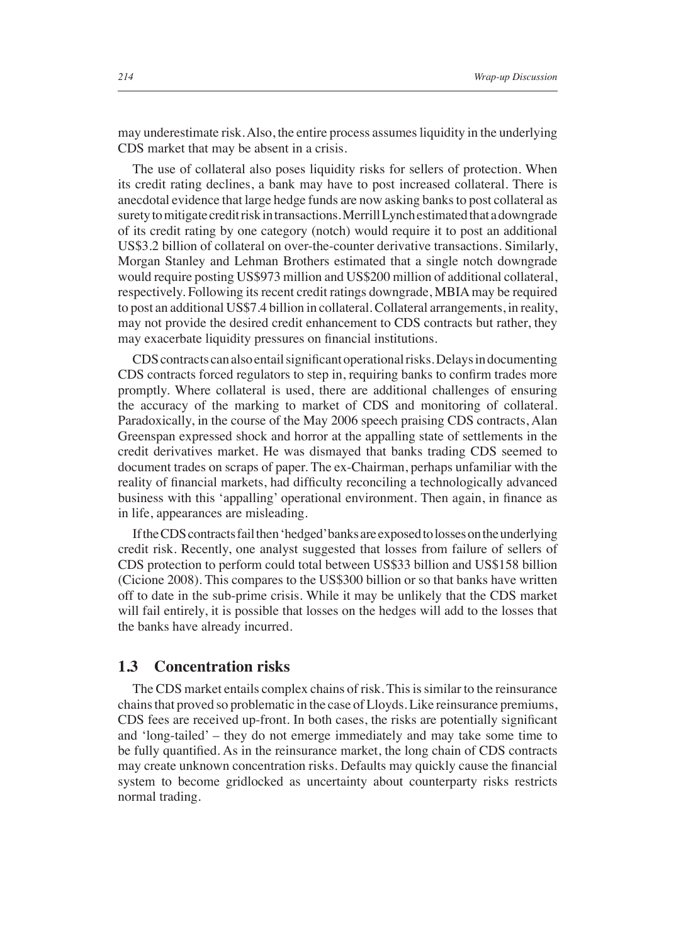may underestimate risk. Also, the entire process assumes liquidity in the underlying CDS market that may be absent in a crisis.

The use of collateral also poses liquidity risks for sellers of protection. When its credit rating declines, a bank may have to post increased collateral. There is anecdotal evidence that large hedge funds are now asking banks to post collateral as surety to mitigate credit risk in transactions. Merrill Lynch estimated that a downgrade of its credit rating by one category (notch) would require it to post an additional US\$3.2 billion of collateral on over-the-counter derivative transactions. Similarly, Morgan Stanley and Lehman Brothers estimated that a single notch downgrade would require posting US\$973 million and US\$200 million of additional collateral, respectively. Following its recent credit ratings downgrade, MBIA may be required to post an additional US\$7.4 billion in collateral. Collateral arrangements, in reality, may not provide the desired credit enhancement to CDS contracts but rather, they may exacerbate liquidity pressures on financial institutions.

CDS contracts can also entail significant operational risks. Delays in documenting CDS contracts forced regulators to step in, requiring banks to confirm trades more promptly. Where collateral is used, there are additional challenges of ensuring the accuracy of the marking to market of CDS and monitoring of collateral. Paradoxically, in the course of the May 2006 speech praising CDS contracts, Alan Greenspan expressed shock and horror at the appalling state of settlements in the credit derivatives market. He was dismayed that banks trading CDS seemed to document trades on scraps of paper. The ex-Chairman, perhaps unfamiliar with the reality of financial markets, had difficulty reconciling a technologically advanced business with this 'appalling' operational environment. Then again, in finance as in life, appearances are misleading.

If the CDS contracts fail then 'hedged' banks are exposed to losses on the underlying credit risk. Recently, one analyst suggested that losses from failure of sellers of CDS protection to perform could total between US\$33 billion and US\$158 billion (Cicione 2008). This compares to the US\$300 billion or so that banks have written off to date in the sub-prime crisis. While it may be unlikely that the CDS market will fail entirely, it is possible that losses on the hedges will add to the losses that the banks have already incurred.

### **1.3 Concentration risks**

The CDS market entails complex chains of risk. This is similar to the reinsurance chains that proved so problematic in the case of Lloyds. Like reinsurance premiums, CDS fees are received up-front. In both cases, the risks are potentially significant and 'long-tailed' – they do not emerge immediately and may take some time to be fully quantified. As in the reinsurance market, the long chain of CDS contracts may create unknown concentration risks. Defaults may quickly cause the financial system to become gridlocked as uncertainty about counterparty risks restricts normal trading.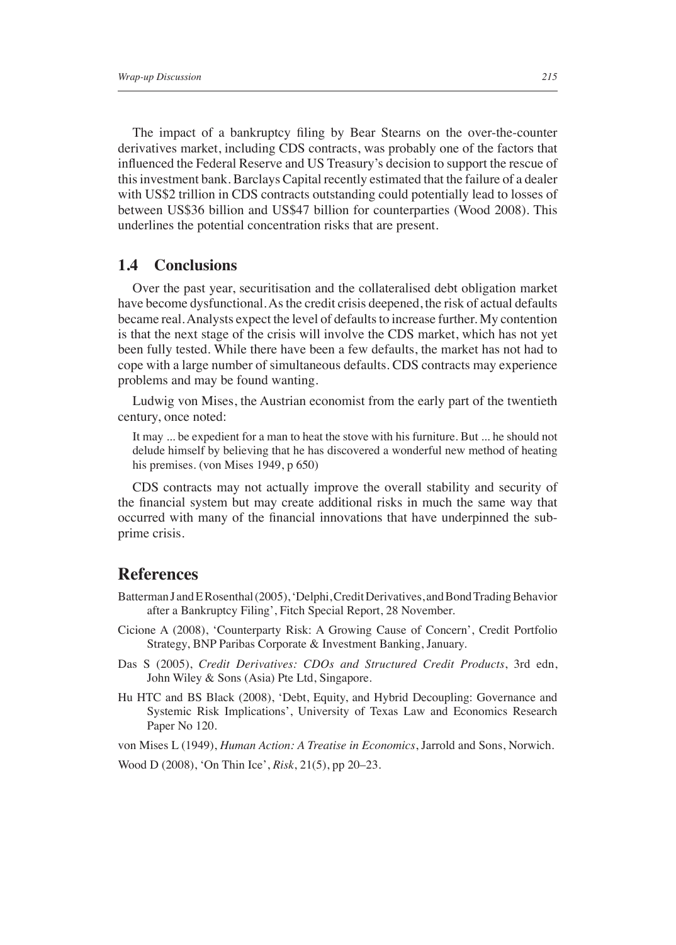The impact of a bankruptcy filing by Bear Stearns on the over-the-counter derivatives market, including CDS contracts, was probably one of the factors that influenced the Federal Reserve and US Treasury's decision to support the rescue of this investment bank. Barclays Capital recently estimated that the failure of a dealer with US\$2 trillion in CDS contracts outstanding could potentially lead to losses of between US\$36 billion and US\$47 billion for counterparties (Wood 2008). This underlines the potential concentration risks that are present.

### **1.4 Conclusions**

Over the past year, securitisation and the collateralised debt obligation market have become dysfunctional. As the credit crisis deepened, the risk of actual defaults became real. Analysts expect the level of defaults to increase further. My contention is that the next stage of the crisis will involve the CDS market, which has not yet been fully tested. While there have been a few defaults, the market has not had to cope with a large number of simultaneous defaults. CDS contracts may experience problems and may be found wanting.

Ludwig von Mises, the Austrian economist from the early part of the twentieth century, once noted:

It may ... be expedient for a man to heat the stove with his furniture. But ... he should not delude himself by believing that he has discovered a wonderful new method of heating his premises. (von Mises 1949, p 650)

CDS contracts may not actually improve the overall stability and security of the financial system but may create additional risks in much the same way that occurred with many of the financial innovations that have underpinned the subprime crisis.

## **References**

- Batterman J and E Rosenthal (2005), 'Delphi, Credit Derivatives, and Bond Trading Behavior after a Bankruptcy Filing', Fitch Special Report, 28 November.
- Cicione A (2008), 'Counterparty Risk: A Growing Cause of Concern', Credit Portfolio Strategy, BNP Paribas Corporate & Investment Banking, January.
- Das S (2005), *Credit Derivatives: CDOs and Structured Credit Products*, 3rd edn, John Wiley & Sons (Asia) Pte Ltd, Singapore.
- Hu HTC and BS Black (2008), 'Debt, Equity, and Hybrid Decoupling: Governance and Systemic Risk Implications', University of Texas Law and Economics Research Paper No 120.

von Mises L (1949), *Human Action: A Treatise in Economics*, Jarrold and Sons, Norwich.

Wood D (2008), 'On Thin Ice', *Risk*, 21(5), pp 20–23.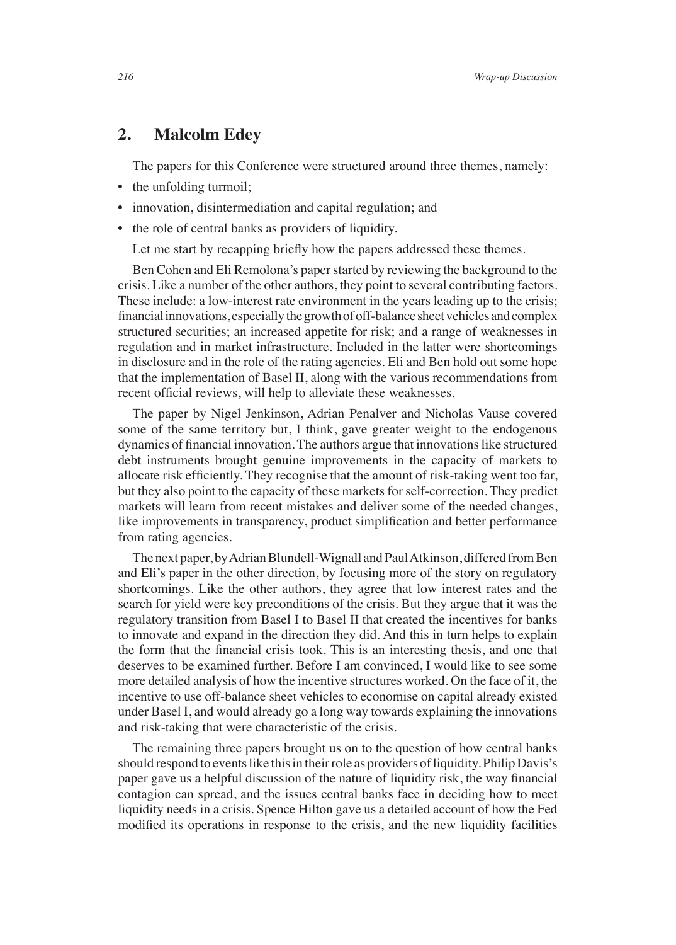## **2. Malcolm Edey**

The papers for this Conference were structured around three themes, namely:

- the unfolding turmoil;
- innovation, disintermediation and capital regulation; and
- the role of central banks as providers of liquidity.

Let me start by recapping briefly how the papers addressed these themes.

Ben Cohen and Eli Remolona's paper started by reviewing the background to the crisis. Like a number of the other authors, they point to several contributing factors. These include: a low-interest rate environment in the years leading up to the crisis; financial innovations, especially the growth of off-balance sheet vehicles and complex structured securities; an increased appetite for risk; and a range of weaknesses in regulation and in market infrastructure. Included in the latter were shortcomings in disclosure and in the role of the rating agencies. Eli and Ben hold out some hope that the implementation of Basel II, along with the various recommendations from recent official reviews, will help to alleviate these weaknesses.

The paper by Nigel Jenkinson, Adrian Penalver and Nicholas Vause covered some of the same territory but, I think, gave greater weight to the endogenous dynamics of financial innovation. The authors argue that innovations like structured debt instruments brought genuine improvements in the capacity of markets to allocate risk efficiently. They recognise that the amount of risk-taking went too far, but they also point to the capacity of these markets for self-correction. They predict markets will learn from recent mistakes and deliver some of the needed changes, like improvements in transparency, product simplification and better performance from rating agencies.

The next paper, by Adrian Blundell-Wignall and Paul Atkinson, differed from Ben and Eli's paper in the other direction, by focusing more of the story on regulatory shortcomings. Like the other authors, they agree that low interest rates and the search for yield were key preconditions of the crisis. But they argue that it was the regulatory transition from Basel I to Basel II that created the incentives for banks to innovate and expand in the direction they did. And this in turn helps to explain the form that the financial crisis took. This is an interesting thesis, and one that deserves to be examined further. Before I am convinced, I would like to see some more detailed analysis of how the incentive structures worked. On the face of it, the incentive to use off-balance sheet vehicles to economise on capital already existed under Basel I, and would already go a long way towards explaining the innovations and risk-taking that were characteristic of the crisis.

The remaining three papers brought us on to the question of how central banks should respond to events like this in their role as providers of liquidity. Philip Davis's paper gave us a helpful discussion of the nature of liquidity risk, the way financial contagion can spread, and the issues central banks face in deciding how to meet liquidity needs in a crisis. Spence Hilton gave us a detailed account of how the Fed modified its operations in response to the crisis, and the new liquidity facilities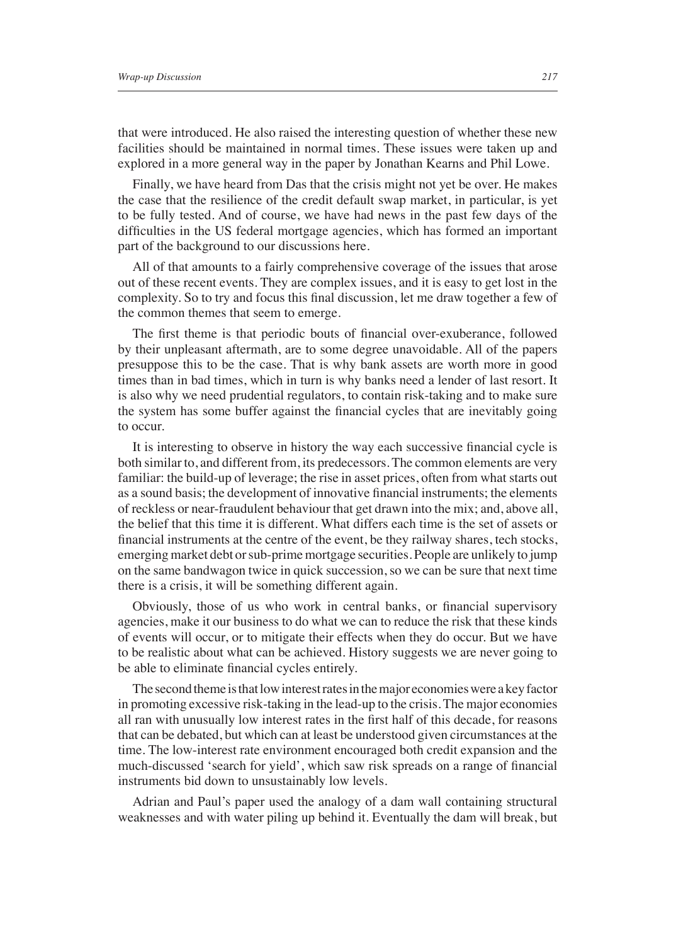that were introduced. He also raised the interesting question of whether these new facilities should be maintained in normal times. These issues were taken up and explored in a more general way in the paper by Jonathan Kearns and Phil Lowe.

Finally, we have heard from Das that the crisis might not yet be over. He makes the case that the resilience of the credit default swap market, in particular, is yet to be fully tested. And of course, we have had news in the past few days of the difficulties in the US federal mortgage agencies, which has formed an important part of the background to our discussions here.

All of that amounts to a fairly comprehensive coverage of the issues that arose out of these recent events. They are complex issues, and it is easy to get lost in the complexity. So to try and focus this final discussion, let me draw together a few of the common themes that seem to emerge.

The first theme is that periodic bouts of financial over-exuberance, followed by their unpleasant aftermath, are to some degree unavoidable. All of the papers presuppose this to be the case. That is why bank assets are worth more in good times than in bad times, which in turn is why banks need a lender of last resort. It is also why we need prudential regulators, to contain risk-taking and to make sure the system has some buffer against the financial cycles that are inevitably going to occur.

It is interesting to observe in history the way each successive financial cycle is both similar to, and different from, its predecessors. The common elements are very familiar: the build-up of leverage; the rise in asset prices, often from what starts out as a sound basis; the development of innovative financial instruments; the elements of reckless or near-fraudulent behaviour that get drawn into the mix; and, above all, the belief that this time it is different. What differs each time is the set of assets or financial instruments at the centre of the event, be they railway shares, tech stocks, emerging market debt or sub-prime mortgage securities. People are unlikely to jump on the same bandwagon twice in quick succession, so we can be sure that next time there is a crisis, it will be something different again.

Obviously, those of us who work in central banks, or financial supervisory agencies, make it our business to do what we can to reduce the risk that these kinds of events will occur, or to mitigate their effects when they do occur. But we have to be realistic about what can be achieved. History suggests we are never going to be able to eliminate financial cycles entirely.

The second theme is that low interest rates in the major economies were a key factor in promoting excessive risk-taking in the lead-up to the crisis. The major economies all ran with unusually low interest rates in the first half of this decade, for reasons that can be debated, but which can at least be understood given circumstances at the time. The low-interest rate environment encouraged both credit expansion and the much-discussed 'search for yield', which saw risk spreads on a range of financial instruments bid down to unsustainably low levels.

Adrian and Paul's paper used the analogy of a dam wall containing structural weaknesses and with water piling up behind it. Eventually the dam will break, but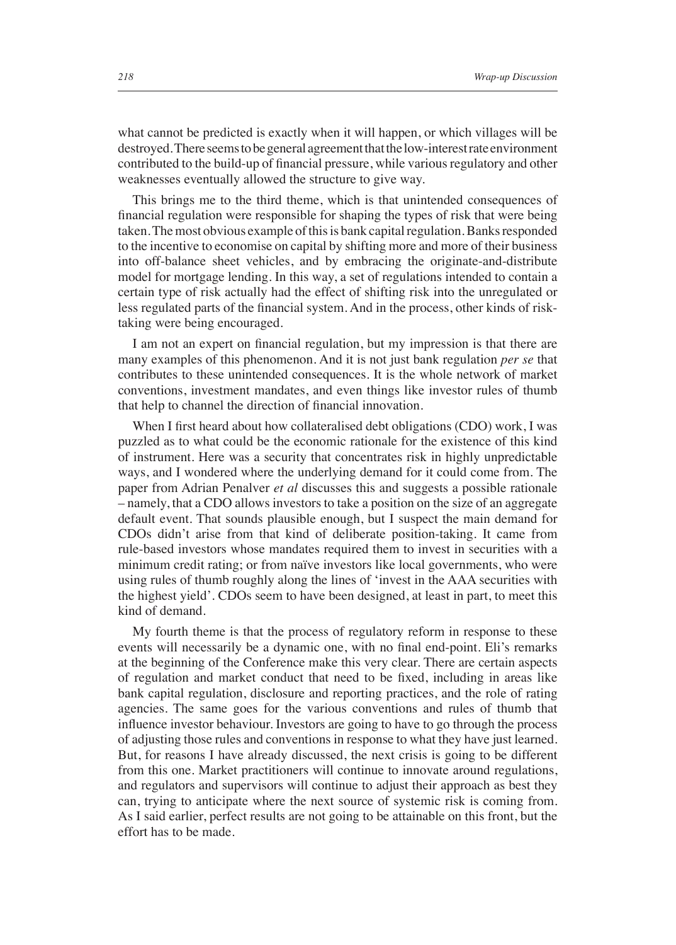what cannot be predicted is exactly when it will happen, or which villages will be destroyed. There seems to be general agreement that the low-interest rate environment contributed to the build-up of financial pressure, while various regulatory and other weaknesses eventually allowed the structure to give way.

This brings me to the third theme, which is that unintended consequences of financial regulation were responsible for shaping the types of risk that were being taken. The most obvious example of this is bank capital regulation. Banks responded to the incentive to economise on capital by shifting more and more of their business into off-balance sheet vehicles, and by embracing the originate-and-distribute model for mortgage lending. In this way, a set of regulations intended to contain a certain type of risk actually had the effect of shifting risk into the unregulated or less regulated parts of the financial system. And in the process, other kinds of risktaking were being encouraged.

I am not an expert on financial regulation, but my impression is that there are many examples of this phenomenon. And it is not just bank regulation *per se* that contributes to these unintended consequences. It is the whole network of market conventions, investment mandates, and even things like investor rules of thumb that help to channel the direction of financial innovation.

When I first heard about how collateralised debt obligations (CDO) work, I was puzzled as to what could be the economic rationale for the existence of this kind of instrument. Here was a security that concentrates risk in highly unpredictable ways, and I wondered where the underlying demand for it could come from. The paper from Adrian Penalver *et al* discusses this and suggests a possible rationale – namely, that a CDO allows investors to take a position on the size of an aggregate default event. That sounds plausible enough, but I suspect the main demand for CDOs didn't arise from that kind of deliberate position-taking. It came from rule-based investors whose mandates required them to invest in securities with a minimum credit rating; or from naïve investors like local governments, who were using rules of thumb roughly along the lines of 'invest in the AAA securities with the highest yield'. CDOs seem to have been designed, at least in part, to meet this kind of demand.

My fourth theme is that the process of regulatory reform in response to these events will necessarily be a dynamic one, with no final end-point. Eli's remarks at the beginning of the Conference make this very clear. There are certain aspects of regulation and market conduct that need to be fixed, including in areas like bank capital regulation, disclosure and reporting practices, and the role of rating agencies. The same goes for the various conventions and rules of thumb that influence investor behaviour. Investors are going to have to go through the process of adjusting those rules and conventions in response to what they have just learned. But, for reasons I have already discussed, the next crisis is going to be different from this one. Market practitioners will continue to innovate around regulations, and regulators and supervisors will continue to adjust their approach as best they can, trying to anticipate where the next source of systemic risk is coming from. As I said earlier, perfect results are not going to be attainable on this front, but the effort has to be made.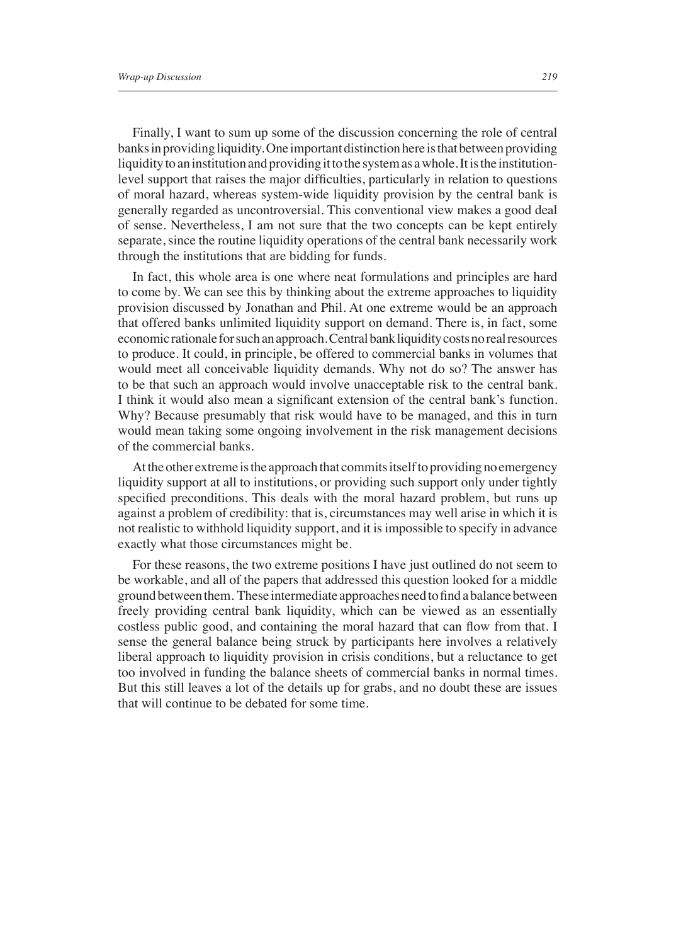Finally, I want to sum up some of the discussion concerning the role of central banks in providing liquidity. One important distinction here is that between providing liquidity to an institution and providing it to the system as a whole. It is the institutionlevel support that raises the major difficulties, particularly in relation to questions of moral hazard, whereas system-wide liquidity provision by the central bank is generally regarded as uncontroversial. This conventional view makes a good deal of sense. Nevertheless, I am not sure that the two concepts can be kept entirely separate, since the routine liquidity operations of the central bank necessarily work through the institutions that are bidding for funds.

In fact, this whole area is one where neat formulations and principles are hard to come by. We can see this by thinking about the extreme approaches to liquidity provision discussed by Jonathan and Phil. At one extreme would be an approach that offered banks unlimited liquidity support on demand. There is, in fact, some economic rationale for such an approach. Central bank liquidity costs no real resources to produce. It could, in principle, be offered to commercial banks in volumes that would meet all conceivable liquidity demands. Why not do so? The answer has to be that such an approach would involve unacceptable risk to the central bank. I think it would also mean a significant extension of the central bank's function. Why? Because presumably that risk would have to be managed, and this in turn would mean taking some ongoing involvement in the risk management decisions of the commercial banks.

At the other extreme is the approach that commits itself to providing no emergency liquidity support at all to institutions, or providing such support only under tightly specified preconditions. This deals with the moral hazard problem, but runs up against a problem of credibility: that is, circumstances may well arise in which it is not realistic to withhold liquidity support, and it is impossible to specify in advance exactly what those circumstances might be.

For these reasons, the two extreme positions I have just outlined do not seem to be workable, and all of the papers that addressed this question looked for a middle ground between them. These intermediate approaches need to find a balance between freely providing central bank liquidity, which can be viewed as an essentially costless public good, and containing the moral hazard that can flow from that. I sense the general balance being struck by participants here involves a relatively liberal approach to liquidity provision in crisis conditions, but a reluctance to get too involved in funding the balance sheets of commercial banks in normal times. But this still leaves a lot of the details up for grabs, and no doubt these are issues that will continue to be debated for some time.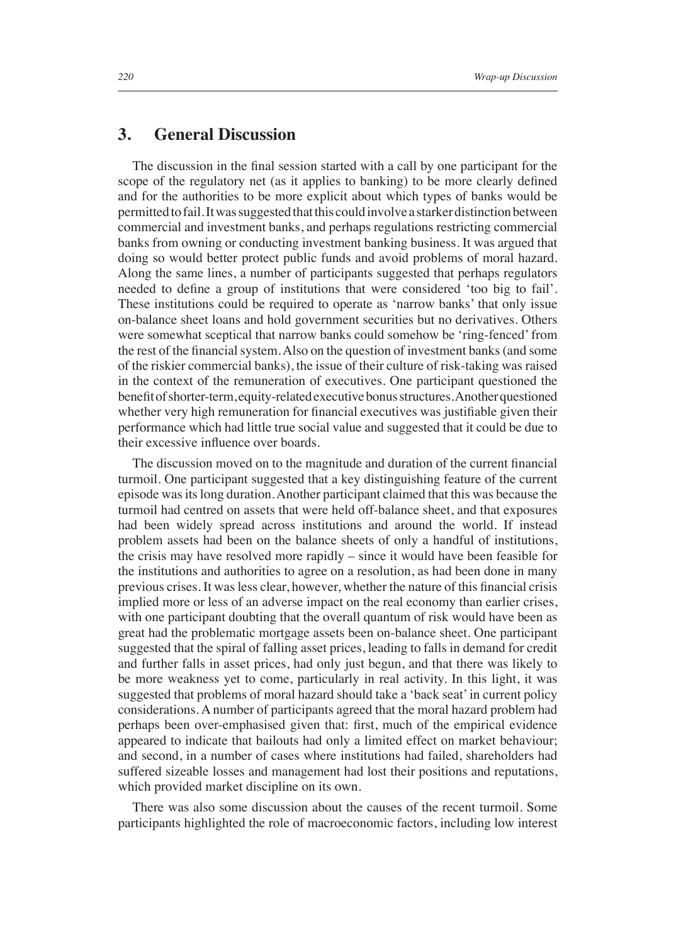## **3. General Discussion**

The discussion in the final session started with a call by one participant for the scope of the regulatory net (as it applies to banking) to be more clearly defined and for the authorities to be more explicit about which types of banks would be permitted to fail. It was suggested that this could involve a starker distinction between commercial and investment banks, and perhaps regulations restricting commercial banks from owning or conducting investment banking business. It was argued that doing so would better protect public funds and avoid problems of moral hazard. Along the same lines, a number of participants suggested that perhaps regulators needed to define a group of institutions that were considered 'too big to fail'. These institutions could be required to operate as 'narrow banks' that only issue on-balance sheet loans and hold government securities but no derivatives. Others were somewhat sceptical that narrow banks could somehow be 'ring-fenced' from the rest of the financial system. Also on the question of investment banks (and some of the riskier commercial banks), the issue of their culture of risk-taking was raised in the context of the remuneration of executives. One participant questioned the benefit of shorter-term, equity-related executive bonus structures. Another questioned whether very high remuneration for financial executives was justifiable given their performance which had little true social value and suggested that it could be due to their excessive influence over boards.

The discussion moved on to the magnitude and duration of the current financial turmoil. One participant suggested that a key distinguishing feature of the current episode was its long duration. Another participant claimed that this was because the turmoil had centred on assets that were held off-balance sheet, and that exposures had been widely spread across institutions and around the world. If instead problem assets had been on the balance sheets of only a handful of institutions, the crisis may have resolved more rapidly – since it would have been feasible for the institutions and authorities to agree on a resolution, as had been done in many previous crises. It was less clear, however, whether the nature of this financial crisis implied more or less of an adverse impact on the real economy than earlier crises, with one participant doubting that the overall quantum of risk would have been as great had the problematic mortgage assets been on-balance sheet. One participant suggested that the spiral of falling asset prices, leading to falls in demand for credit and further falls in asset prices, had only just begun, and that there was likely to be more weakness yet to come, particularly in real activity. In this light, it was suggested that problems of moral hazard should take a 'back seat' in current policy considerations. A number of participants agreed that the moral hazard problem had perhaps been over-emphasised given that: first, much of the empirical evidence appeared to indicate that bailouts had only a limited effect on market behaviour; and second, in a number of cases where institutions had failed, shareholders had suffered sizeable losses and management had lost their positions and reputations, which provided market discipline on its own.

There was also some discussion about the causes of the recent turmoil. Some participants highlighted the role of macroeconomic factors, including low interest